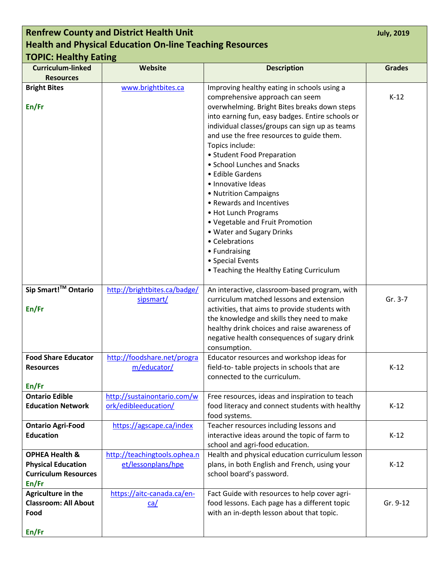| <b>Renfrew County and District Health Unit</b> |                                                                 |                                                                                 |               |  |
|------------------------------------------------|-----------------------------------------------------------------|---------------------------------------------------------------------------------|---------------|--|
|                                                | <b>Health and Physical Education On-line Teaching Resources</b> |                                                                                 |               |  |
| <b>TOPIC: Healthy Eating</b>                   |                                                                 |                                                                                 |               |  |
| <b>Curriculum-linked</b>                       | Website                                                         | <b>Description</b>                                                              | <b>Grades</b> |  |
| <b>Resources</b>                               |                                                                 |                                                                                 |               |  |
| <b>Bright Bites</b>                            | www.brightbites.ca                                              | Improving healthy eating in schools using a                                     |               |  |
| En/Fr                                          |                                                                 | comprehensive approach can seem<br>overwhelming. Bright Bites breaks down steps | $K-12$        |  |
|                                                |                                                                 | into earning fun, easy badges. Entire schools or                                |               |  |
|                                                |                                                                 | individual classes/groups can sign up as teams                                  |               |  |
|                                                |                                                                 | and use the free resources to guide them.                                       |               |  |
|                                                |                                                                 | Topics include:                                                                 |               |  |
|                                                |                                                                 | • Student Food Preparation                                                      |               |  |
|                                                |                                                                 | • School Lunches and Snacks                                                     |               |  |
|                                                |                                                                 | • Edible Gardens                                                                |               |  |
|                                                |                                                                 | · Innovative Ideas                                                              |               |  |
|                                                |                                                                 | • Nutrition Campaigns                                                           |               |  |
|                                                |                                                                 | • Rewards and Incentives<br>• Hot Lunch Programs                                |               |  |
|                                                |                                                                 | • Vegetable and Fruit Promotion                                                 |               |  |
|                                                |                                                                 | • Water and Sugary Drinks                                                       |               |  |
|                                                |                                                                 | • Celebrations                                                                  |               |  |
|                                                |                                                                 | • Fundraising                                                                   |               |  |
|                                                |                                                                 | • Special Events                                                                |               |  |
|                                                |                                                                 | • Teaching the Healthy Eating Curriculum                                        |               |  |
| Sip Smart! <sup>™</sup> Ontario                | http://brightbites.ca/badge/                                    | An interactive, classroom-based program, with                                   |               |  |
|                                                | sipsmart/                                                       | curriculum matched lessons and extension                                        | Gr. 3-7       |  |
| En/Fr                                          |                                                                 | activities, that aims to provide students with                                  |               |  |
|                                                |                                                                 | the knowledge and skills they need to make                                      |               |  |
|                                                |                                                                 | healthy drink choices and raise awareness of                                    |               |  |
|                                                |                                                                 | negative health consequences of sugary drink<br>consumption.                    |               |  |
| <b>Food Share Educator</b>                     | http://foodshare.net/progra                                     | Educator resources and workshop ideas for                                       |               |  |
| <b>Resources</b>                               | m/educator/                                                     | field-to-table projects in schools that are                                     | $K-12$        |  |
|                                                |                                                                 | connected to the curriculum.                                                    |               |  |
| En/Fr                                          |                                                                 |                                                                                 |               |  |
| <b>Ontario Edible</b>                          | http://sustainontario.com/w                                     | Free resources, ideas and inspiration to teach                                  |               |  |
| <b>Education Network</b>                       | ork/edibleeducation/                                            | food literacy and connect students with healthy                                 | $K-12$        |  |
| <b>Ontario Agri-Food</b>                       | https://agscape.ca/index                                        | food systems.<br>Teacher resources including lessons and                        |               |  |
| <b>Education</b>                               |                                                                 | interactive ideas around the topic of farm to                                   | $K-12$        |  |
|                                                |                                                                 | school and agri-food education.                                                 |               |  |
| <b>OPHEA Health &amp;</b>                      | http://teachingtools.ophea.n                                    | Health and physical education curriculum lesson                                 |               |  |
| <b>Physical Education</b>                      | et/lessonplans/hpe                                              | plans, in both English and French, using your                                   | $K-12$        |  |
| <b>Curriculum Resources</b>                    |                                                                 | school board's password.                                                        |               |  |
| En/Fr                                          |                                                                 |                                                                                 |               |  |
| Agriculture in the                             | https://aitc-canada.ca/en-                                      | Fact Guide with resources to help cover agri-                                   |               |  |
| <b>Classroom: All About</b>                    | ca/                                                             | food lessons. Each page has a different topic                                   | Gr. 9-12      |  |
| Food                                           |                                                                 | with an in-depth lesson about that topic.                                       |               |  |
| En/Fr                                          |                                                                 |                                                                                 |               |  |